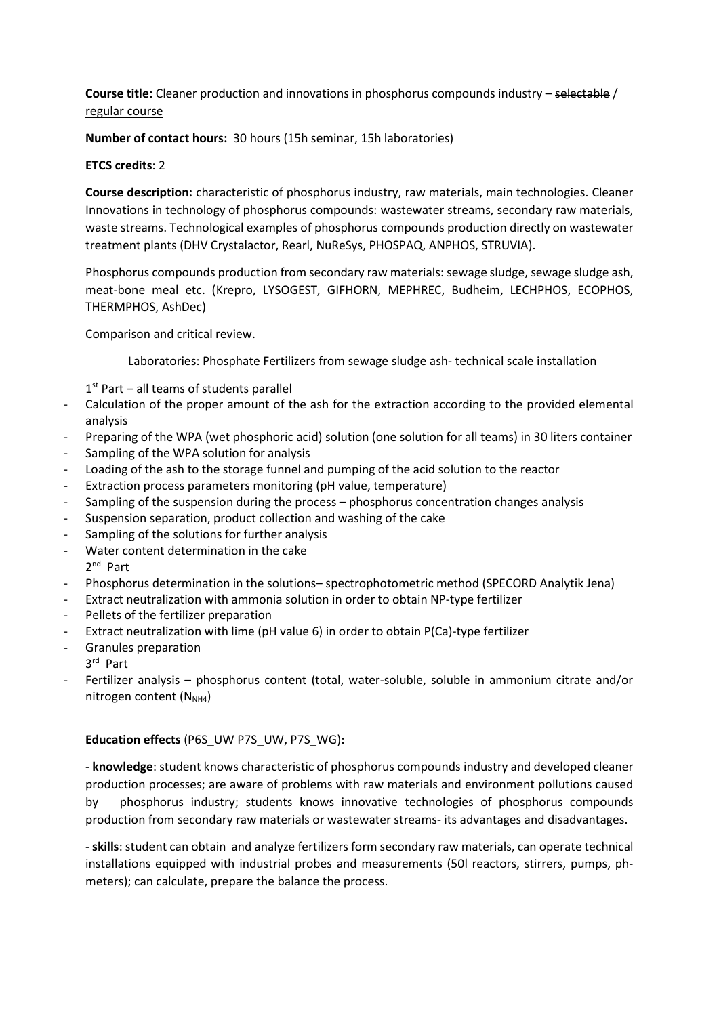Course title: Cleaner production and innovations in phosphorus compounds industry – selectable / regular course

Number of contact hours: 30 hours (15h seminar, 15h laboratories)

## ETCS credits: 2

Course description: characteristic of phosphorus industry, raw materials, main technologies. Cleaner Innovations in technology of phosphorus compounds: wastewater streams, secondary raw materials, waste streams. Technological examples of phosphorus compounds production directly on wastewater treatment plants (DHV Crystalactor, Rearl, NuReSys, PHOSPAQ, ANPHOS, STRUVIA).

Phosphorus compounds production from secondary raw materials: sewage sludge, sewage sludge ash, meat-bone meal etc. (Krepro, LYSOGEST, GIFHORN, MEPHREC, Budheim, LECHPHOS, ECOPHOS, THERMPHOS, AshDec)

Comparison and critical review.

Laboratories: Phosphate Fertilizers from sewage sludge ash- technical scale installation

1<sup>st</sup> Part - all teams of students parallel

- Calculation of the proper amount of the ash for the extraction according to the provided elemental analysis
- Preparing of the WPA (wet phosphoric acid) solution (one solution for all teams) in 30 liters container
- Sampling of the WPA solution for analysis
- Loading of the ash to the storage funnel and pumping of the acid solution to the reactor
- Extraction process parameters monitoring (pH value, temperature)
- Sampling of the suspension during the process phosphorus concentration changes analysis
- Suspension separation, product collection and washing of the cake
- Sampling of the solutions for further analysis
- Water content determination in the cake 2<sup>nd</sup> Part
- Phosphorus determination in the solutions– spectrophotometric method (SPECORD Analytik Jena)
- Extract neutralization with ammonia solution in order to obtain NP-type fertilizer
- Pellets of the fertilizer preparation
- Extract neutralization with lime (pH value 6) in order to obtain P(Ca)-type fertilizer
- Granules preparation
	- 3 rd Part
- Fertilizer analysis phosphorus content (total, water-soluble, soluble in ammonium citrate and/or nitrogen content  $(N_{NH4})$

## Education effects (P6S\_UW P7S\_UW, P7S\_WG):

- knowledge: student knows characteristic of phosphorus compounds industry and developed cleaner production processes; are aware of problems with raw materials and environment pollutions caused by phosphorus industry; students knows innovative technologies of phosphorus compounds production from secondary raw materials or wastewater streams- its advantages and disadvantages.

- skills: student can obtain and analyze fertilizers form secondary raw materials, can operate technical installations equipped with industrial probes and measurements (50l reactors, stirrers, pumps, phmeters); can calculate, prepare the balance the process.